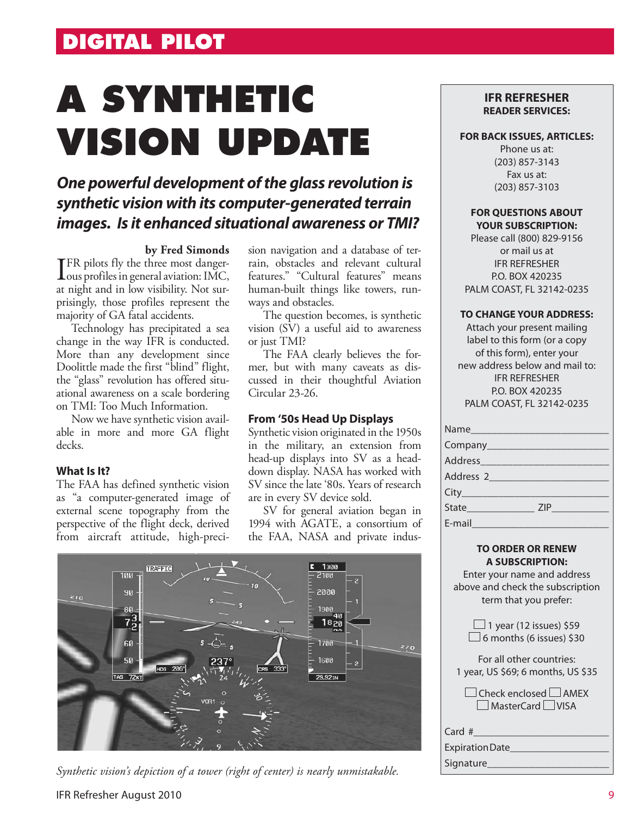# **DIGITAL PILOT**

# **A SYNTHETIC VISION UPDATE**

## *One powerful development of the glass revolution is synthetic vision with its computer-generated terrain images. Is it enhanced situational awareness or TMI?*

#### **by Fred Simonds**

**I**FR pilots fly the three most danger-<br>ous profiles in general aviation: IMC, **TFR** pilots fly the three most dangerat night and in low visibility. Not surprisingly, those profiles represent the majority of GA fatal accidents.

Technology has precipitated a sea change in the way IFR is conducted. More than any development since Doolittle made the first "blind" flight, the "glass" revolution has offered situational awareness on a scale bordering on TMI: Too Much Information.

Now we have synthetic vision available in more and more GA flight decks.

#### **What Is It?**

The FAA has defined synthetic vision as "a computer-generated image of external scene topography from the perspective of the flight deck, derived from aircraft attitude, high-precision navigation and a database of terrain, obstacles and relevant cultural features." "Cultural features" means human-built things like towers, runways and obstacles.

The question becomes, is synthetic vision (SV) a useful aid to awareness or just TMI?

The FAA clearly believes the former, but with many caveats as discussed in their thoughtful Aviation Circular 23-26.

#### **From '50s Head Up Displays**

Synthetic vision originated in the 1950s in the military, an extension from head-up displays into SV as a headdown display. NASA has worked with SV since the late '80s. Years of research are in every SV device sold.

SV for general aviation began in 1994 with AGATE, a consortium of the FAA, NASA and private indus-



#### *Synthetic vision's depiction of a tower (right of center) is nearly unmistakable.*

#### IFR Refresher August 2010

#### **IFR REFRESHER READER SERVICES:**

#### **FOR BACK ISSUES, ARTICLES:**

Phone us at: (203) 857-3143 Fax us at: (203) 857-3103

#### **FOR QUESTIONS ABOUT YOUR SUBSCRIPTION:**

Please call (800) 829-9156 or mail us at IFR REFRESHER P.O. BOX 420235 PALM COAST, FL 32142-0235

#### **TO CHANGE YOUR ADDRESS:**

Attach your present mailing label to this form (or a copy of this form), enter your new address below and mail to: IFR REFRESHER P.O. BOX 420235 PALM COAST, FL 32142-0235

| Name_______          |     |
|----------------------|-----|
| Company______        |     |
| Address              |     |
| Address <sub>2</sub> |     |
|                      |     |
|                      | ZIP |
| E-mail               |     |

#### **TO ORDER OR RENEW A SUBSCRIPTION:**

Enter your name and address above and check the subscription term that you prefer:

| $\Box$ 1 year (12 issues) \$59  |
|---------------------------------|
| $\Box$ 6 months (6 issues) \$30 |

| For all other countries:           |
|------------------------------------|
| 1 year, US \$69; 6 months, US \$35 |

 $\Box$  Check enclosed  $\Box$  AMEX MasterCard VISA

| Card #           |  |
|------------------|--|
| Expiration Date_ |  |

Signature\_\_\_\_\_\_\_\_\_\_\_\_\_\_\_\_\_\_\_\_\_\_\_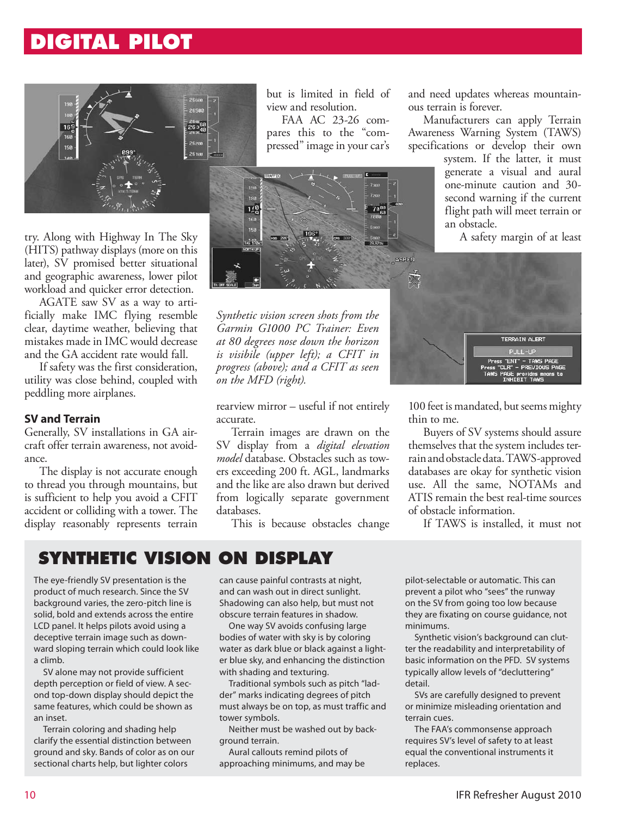## **DIGITAL PILOT**



try. Along with Highway In The Sky (HITS) pathway displays (more on this later), SV promised better situational and geographic awareness, lower pilot workload and quicker error detection.

AGATE saw SV as a way to artificially make IMC flying resemble clear, daytime weather, believing that mistakes made in IMC would decrease and the GA accident rate would fall.

If safety was the first consideration, utility was close behind, coupled with peddling more airplanes.

#### **SV and Terrain**

Generally, SV installations in GA aircraft offer terrain awareness, not avoidance.

The display is not accurate enough to thread you through mountains, but is sufficient to help you avoid a CFIT accident or colliding with a tower. The display reasonably represents terrain

but is limited in field of view and resolution.

FAA AC 23-26 compares this to the "compressed" image in your car's



*Synthetic vision screen shots from the Garmin G1000 PC Trainer: Even at 80 degrees nose down the horizon is visibile (upper left); a CFIT in progress (above); and a CFIT as seen on the MFD (right).*

rearview mirror – useful if not entirely accurate.

Terrain images are drawn on the SV display from a *digital elevation model* database. Obstacles such as towers exceeding 200 ft. AGL, landmarks and the like are also drawn but derived from logically separate government databases.

This is because obstacles change

and need updates whereas mountainous terrain is forever.

Manufacturers can apply Terrain Awareness Warning System (TAWS) specifications or develop their own

> system. If the latter, it must generate a visual and aural one-minute caution and 30 second warning if the current flight path will meet terrain or an obstacle.

> > A safety margin of at least



100 feet is mandated, but seems mighty thin to me.

Buyers of SV systems should assure themselves that the system includes terrain and obstacle data. TAWS-approved databases are okay for synthetic vision use. All the same, NOTAMs and ATIS remain the best real-time sources of obstacle information.

If TAWS is installed, it must not

### **SYNTHETIC VISION ON DISPLAY**

The eye-friendly SV presentation is the product of much research. Since the SV background varies, the zero-pitch line is solid, bold and extends across the entire LCD panel. It helps pilots avoid using a deceptive terrain image such as downward sloping terrain which could look like a climb.

SV alone may not provide sufficient depth perception or field of view. A second top-down display should depict the same features, which could be shown as an inset.

Terrain coloring and shading help clarify the essential distinction between ground and sky. Bands of color as on our sectional charts help, but lighter colors

can cause painful contrasts at night, and can wash out in direct sunlight. Shadowing can also help, but must not obscure terrain features in shadow.

One way SV avoids confusing large bodies of water with sky is by coloring water as dark blue or black against a lighter blue sky, and enhancing the distinction with shading and texturing.

Traditional symbols such as pitch "ladder" marks indicating degrees of pitch must always be on top, as must traffic and tower symbols.

Neither must be washed out by background terrain.

Aural callouts remind pilots of approaching minimums, and may be

pilot-selectable or automatic. This can prevent a pilot who "sees" the runway on the SV from going too low because they are fixating on course guidance, not minimums.

Synthetic vision's background can clutter the readability and interpretability of basic information on the PFD. SV systems typically allow levels of "decluttering" detail.

SVs are carefully designed to prevent or minimize misleading orientation and terrain cues.

The FAA's commonsense approach requires SV's level of safety to at least equal the conventional instruments it replaces.